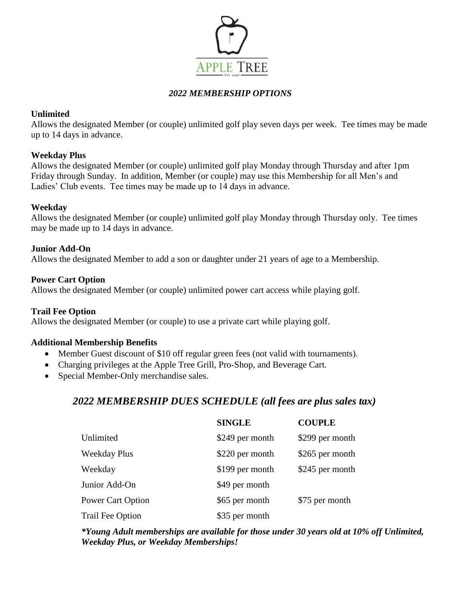

# *2022 MEMBERSHIP OPTIONS*

### **Unlimited**

Allows the designated Member (or couple) unlimited golf play seven days per week. Tee times may be made up to 14 days in advance.

## **Weekday Plus**

Allows the designated Member (or couple) unlimited golf play Monday through Thursday and after 1pm Friday through Sunday. In addition, Member (or couple) may use this Membership for all Men's and Ladies' Club events. Tee times may be made up to 14 days in advance.

## **Weekday**

Allows the designated Member (or couple) unlimited golf play Monday through Thursday only. Tee times may be made up to 14 days in advance.

### **Junior Add-On**

Allows the designated Member to add a son or daughter under 21 years of age to a Membership.

### **Power Cart Option**

Allows the designated Member (or couple) unlimited power cart access while playing golf.

### **Trail Fee Option**

Allows the designated Member (or couple) to use a private cart while playing golf.

### **Additional Membership Benefits**

- Member Guest discount of \$10 off regular green fees (not valid with tournaments).
- Charging privileges at the Apple Tree Grill, Pro-Shop, and Beverage Cart.
- Special Member-Only merchandise sales.

# *2022 MEMBERSHIP DUES SCHEDULE (all fees are plus sales tax)*

|                     | <b>SINGLE</b>   | <b>COUPLE</b>   |
|---------------------|-----------------|-----------------|
| Unlimited           | \$249 per month | \$299 per month |
| <b>Weekday Plus</b> | \$220 per month | \$265 per month |
| Weekday             | \$199 per month | \$245 per month |
| Junior Add-On       | \$49 per month  |                 |
| Power Cart Option   | \$65 per month  | \$75 per month  |
| Trail Fee Option    | \$35 per month  |                 |

*\*Young Adult memberships are available for those under 30 years old at 10% off Unlimited, Weekday Plus, or Weekday Memberships!*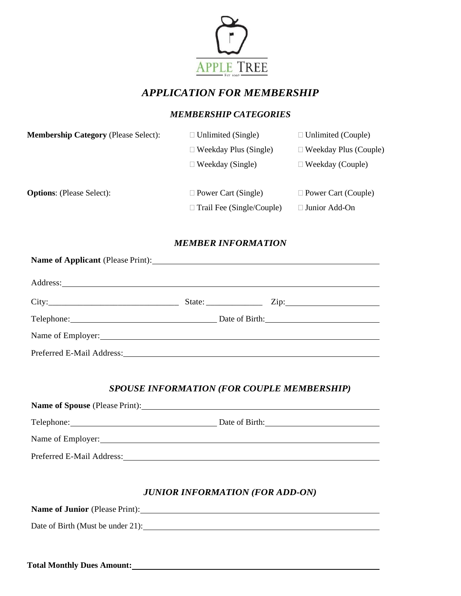

# *APPLICATION FOR MEMBERSHIP*

# *MEMBERSHIP CATEGORIES*

| <b>Membership Category (Please Select):</b> | $\Box$ Unlimited (Single)        | $\Box$ Unlimited (Couple)    |  |
|---------------------------------------------|----------------------------------|------------------------------|--|
|                                             | $\Box$ Weekday Plus (Single)     | $\Box$ Weekday Plus (Couple) |  |
|                                             | $\Box$ Weekday (Single)          | $\Box$ Weekday (Couple)      |  |
| <b>Options:</b> (Please Select):            | $\Box$ Power Cart (Single)       | $\Box$ Power Cart (Couple)   |  |
|                                             | $\Box$ Trail Fee (Single/Couple) | $\Box$ Junior Add-On         |  |

## *MEMBER INFORMATION*

| Name of Applicant (Please Print): 1997                                                                         |  |  |
|----------------------------------------------------------------------------------------------------------------|--|--|
|                                                                                                                |  |  |
|                                                                                                                |  |  |
| Telephone: Date of Birth: Date of Birth:                                                                       |  |  |
| Name of Employer: Name of Employer:                                                                            |  |  |
| Preferred E-Mail Address: Manual Address: All Annual Address: All Annual Address: All Annual Address: All Annu |  |  |

# *SPOUSE INFORMATION (FOR COUPLE MEMBERSHIP)*

| Name of Spouse (Please Print): 1998 |                |
|-------------------------------------|----------------|
|                                     | Date of Birth: |
| Name of Employer: Name of Employer: |                |
| Preferred E-Mail Address:           |                |

# *JUNIOR INFORMATION (FOR ADD-ON)*

**Name of Junior** (Please Print):

Date of Birth (Must be under 21):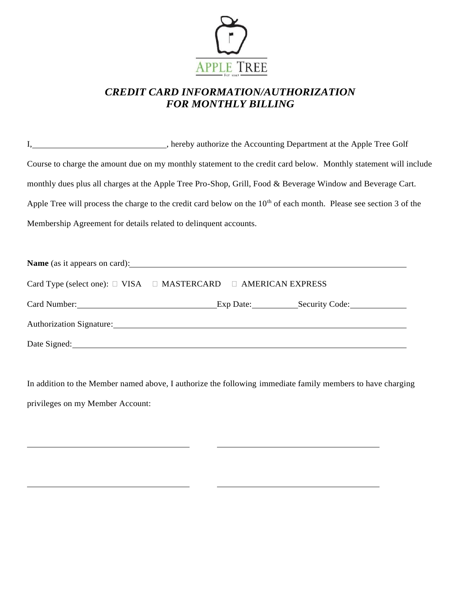

# *CREDIT CARD INFORMATION/AUTHORIZATION FOR MONTHLY BILLING*

I, 1. **I. I** is a set of the Accounting Department at the Apple Tree Golf Course to charge the amount due on my monthly statement to the credit card below. Monthly statement will include monthly dues plus all charges at the Apple Tree Pro-Shop, Grill, Food & Beverage Window and Beverage Cart. Apple Tree will process the charge to the credit card below on the  $10<sup>th</sup>$  of each month. Please see section 3 of the Membership Agreement for details related to delinquent accounts.

| Name (as it appears on card): Name (as it appears on card):                   |  |  |
|-------------------------------------------------------------------------------|--|--|
| Card Type (select one): $\Box$ VISA $\Box$ MASTERCARD $\Box$ AMERICAN EXPRESS |  |  |
|                                                                               |  |  |
|                                                                               |  |  |
| Date Signed: National Contract of the Signed:                                 |  |  |

In addition to the Member named above, I authorize the following immediate family members to have charging privileges on my Member Account:

j.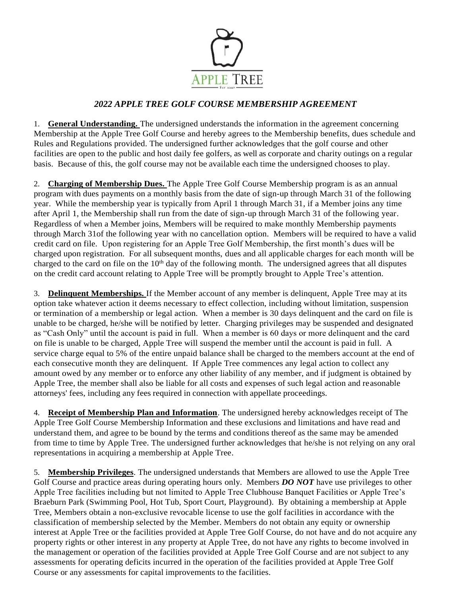

# *2022 APPLE TREE GOLF COURSE MEMBERSHIP AGREEMENT*

1. **General Understanding.** The undersigned understands the information in the agreement concerning Membership at the Apple Tree Golf Course and hereby agrees to the Membership benefits, dues schedule and Rules and Regulations provided. The undersigned further acknowledges that the golf course and other facilities are open to the public and host daily fee golfers, as well as corporate and charity outings on a regular basis. Because of this, the golf course may not be available each time the undersigned chooses to play.

2. **Charging of Membership Dues.** The Apple Tree Golf Course Membership program is as an annual program with dues payments on a monthly basis from the date of sign-up through March 31 of the following year. While the membership year is typically from April 1 through March 31, if a Member joins any time after April 1, the Membership shall run from the date of sign-up through March 31 of the following year. Regardless of when a Member joins, Members will be required to make monthly Membership payments through March 31of the following year with no cancellation option. Members will be required to have a valid credit card on file. Upon registering for an Apple Tree Golf Membership, the first month's dues will be charged upon registration. For all subsequent months, dues and all applicable charges for each month will be charged to the card on file on the  $10<sup>th</sup>$  day of the following month. The undersigned agrees that all disputes on the credit card account relating to Apple Tree will be promptly brought to Apple Tree's attention.

3. **Delinquent Memberships.** If the Member account of any member is delinquent, Apple Tree may at its option take whatever action it deems necessary to effect collection, including without limitation, suspension or termination of a membership or legal action. When a member is 30 days delinquent and the card on file is unable to be charged, he/she will be notified by letter. Charging privileges may be suspended and designated as "Cash Only" until the account is paid in full. When a member is 60 days or more delinquent and the card on file is unable to be charged, Apple Tree will suspend the member until the account is paid in full. A service charge equal to 5% of the entire unpaid balance shall be charged to the members account at the end of each consecutive month they are delinquent. If Apple Tree commences any legal action to collect any amount owed by any member or to enforce any other liability of any member, and if judgment is obtained by Apple Tree, the member shall also be liable for all costs and expenses of such legal action and reasonable attorneys' fees, including any fees required in connection with appellate proceedings.

4. **Receipt of Membership Plan and Information**. The undersigned hereby acknowledges receipt of The Apple Tree Golf Course Membership Information and these exclusions and limitations and have read and understand them, and agree to be bound by the terms and conditions thereof as the same may be amended from time to time by Apple Tree. The undersigned further acknowledges that he/she is not relying on any oral representations in acquiring a membership at Apple Tree.

5. **Membership Privileges**. The undersigned understands that Members are allowed to use the Apple Tree Golf Course and practice areas during operating hours only. Members *DO NOT* have use privileges to other Apple Tree facilities including but not limited to Apple Tree Clubhouse Banquet Facilities or Apple Tree's Braeburn Park (Swimming Pool, Hot Tub, Sport Court, Playground). By obtaining a membership at Apple Tree, Members obtain a non-exclusive revocable license to use the golf facilities in accordance with the classification of membership selected by the Member. Members do not obtain any equity or ownership interest at Apple Tree or the facilities provided at Apple Tree Golf Course, do not have and do not acquire any property rights or other interest in any property at Apple Tree, do not have any rights to become involved in the management or operation of the facilities provided at Apple Tree Golf Course and are not subject to any assessments for operating deficits incurred in the operation of the facilities provided at Apple Tree Golf Course or any assessments for capital improvements to the facilities.